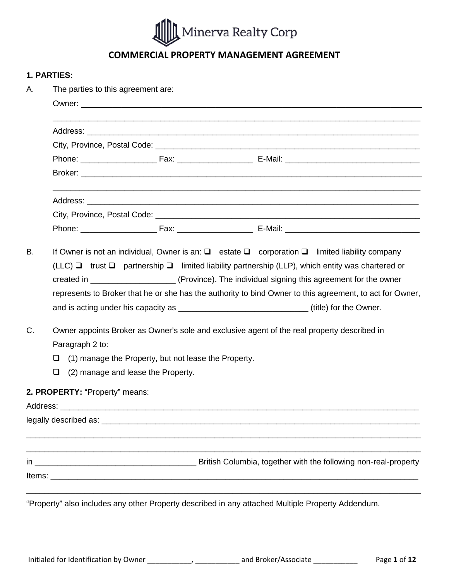

# **COMMERCIAL PROPERTY MANAGEMENT AGREEMENT**

#### **1. PARTIES:**

| Α.          | The parties to this agreement are:                                                                                                                                                                                                                                                                                                                                                                                                                    |  |  |  |  |  |  |  |
|-------------|-------------------------------------------------------------------------------------------------------------------------------------------------------------------------------------------------------------------------------------------------------------------------------------------------------------------------------------------------------------------------------------------------------------------------------------------------------|--|--|--|--|--|--|--|
|             |                                                                                                                                                                                                                                                                                                                                                                                                                                                       |  |  |  |  |  |  |  |
|             |                                                                                                                                                                                                                                                                                                                                                                                                                                                       |  |  |  |  |  |  |  |
|             |                                                                                                                                                                                                                                                                                                                                                                                                                                                       |  |  |  |  |  |  |  |
|             |                                                                                                                                                                                                                                                                                                                                                                                                                                                       |  |  |  |  |  |  |  |
|             |                                                                                                                                                                                                                                                                                                                                                                                                                                                       |  |  |  |  |  |  |  |
|             |                                                                                                                                                                                                                                                                                                                                                                                                                                                       |  |  |  |  |  |  |  |
|             |                                                                                                                                                                                                                                                                                                                                                                                                                                                       |  |  |  |  |  |  |  |
| <b>B.</b>   | If Owner is not an individual, Owner is an: $\square$ estate $\square$ corporation $\square$ limited liability company<br>(LLC) $\Box$ trust $\Box$ partnership $\Box$ limited liability partnership (LLP), which entity was chartered or<br>represents to Broker that he or she has the authority to bind Owner to this agreement, to act for Owner,<br>and is acting under his capacity as __________________________________(title) for the Owner. |  |  |  |  |  |  |  |
| $C_{\cdot}$ | Owner appoints Broker as Owner's sole and exclusive agent of the real property described in<br>Paragraph 2 to:<br>(1) manage the Property, but not lease the Property.<br>□<br>$\Box$<br>(2) manage and lease the Property.                                                                                                                                                                                                                           |  |  |  |  |  |  |  |
|             |                                                                                                                                                                                                                                                                                                                                                                                                                                                       |  |  |  |  |  |  |  |
|             | 2. PROPERTY: "Property" means:                                                                                                                                                                                                                                                                                                                                                                                                                        |  |  |  |  |  |  |  |
|             |                                                                                                                                                                                                                                                                                                                                                                                                                                                       |  |  |  |  |  |  |  |
|             |                                                                                                                                                                                                                                                                                                                                                                                                                                                       |  |  |  |  |  |  |  |
|             |                                                                                                                                                                                                                                                                                                                                                                                                                                                       |  |  |  |  |  |  |  |
|             |                                                                                                                                                                                                                                                                                                                                                                                                                                                       |  |  |  |  |  |  |  |
|             | "Property" also includes any other Property described in any attached Multiple Property Addendum.                                                                                                                                                                                                                                                                                                                                                     |  |  |  |  |  |  |  |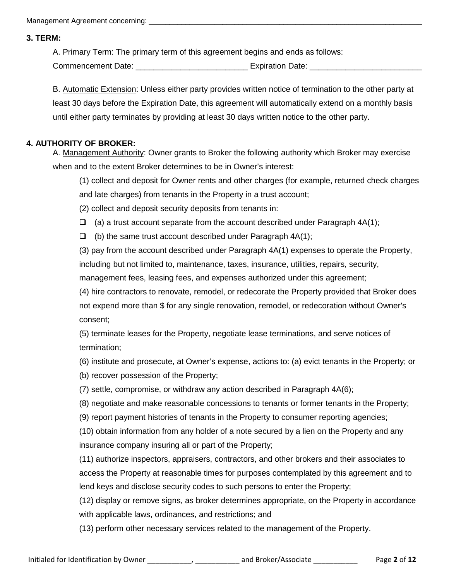#### **3. TERM:**

A. Primary Term: The primary term of this agreement begins and ends as follows:

Commencement Date: <br>
Expiration Date:

B. Automatic Extension: Unless either party provides written notice of termination to the other party at least 30 days before the Expiration Date, this agreement will automatically extend on a monthly basis until either party terminates by providing at least 30 days written notice to the other party.

## **4. AUTHORITY OF BROKER:**

A. Management Authority: Owner grants to Broker the following authority which Broker may exercise when and to the extent Broker determines to be in Owner's interest:

(1) collect and deposit for Owner rents and other charges (for example, returned check charges and late charges) from tenants in the Property in a trust account;

(2) collect and deposit security deposits from tenants in:

 $\Box$  (a) a trust account separate from the account described under Paragraph 4A(1);

 $\Box$  (b) the same trust account described under Paragraph 4A(1);

(3) pay from the account described under Paragraph 4A(1) expenses to operate the Property, including but not limited to, maintenance, taxes, insurance, utilities, repairs, security, management fees, leasing fees, and expenses authorized under this agreement;

(4) hire contractors to renovate, remodel, or redecorate the Property provided that Broker does not expend more than \$ for any single renovation, remodel, or redecoration without Owner's consent;

(5) terminate leases for the Property, negotiate lease terminations, and serve notices of termination;

(6) institute and prosecute, at Owner's expense, actions to: (a) evict tenants in the Property; or

(b) recover possession of the Property;

(7) settle, compromise, or withdraw any action described in Paragraph 4A(6);

(8) negotiate and make reasonable concessions to tenants or former tenants in the Property;

(9) report payment histories of tenants in the Property to consumer reporting agencies;

(10) obtain information from any holder of a note secured by a lien on the Property and any insurance company insuring all or part of the Property;

(11) authorize inspectors, appraisers, contractors, and other brokers and their associates to access the Property at reasonable times for purposes contemplated by this agreement and to lend keys and disclose security codes to such persons to enter the Property;

(12) display or remove signs, as broker determines appropriate, on the Property in accordance with applicable laws, ordinances, and restrictions; and

(13) perform other necessary services related to the management of the Property.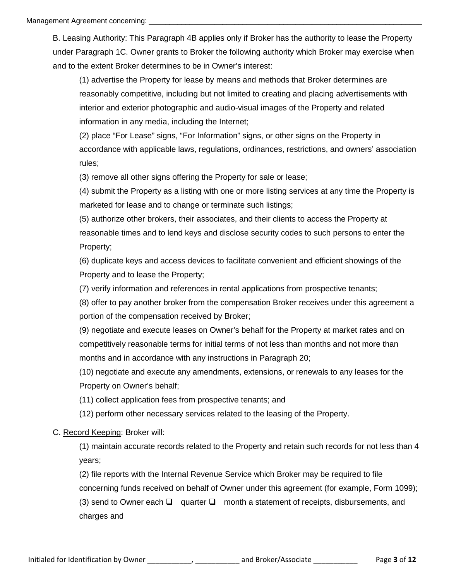B. Leasing Authority: This Paragraph 4B applies only if Broker has the authority to lease the Property under Paragraph 1C. Owner grants to Broker the following authority which Broker may exercise when and to the extent Broker determines to be in Owner's interest:

(1) advertise the Property for lease by means and methods that Broker determines are reasonably competitive, including but not limited to creating and placing advertisements with interior and exterior photographic and audio-visual images of the Property and related information in any media, including the Internet;

(2) place "For Lease" signs, "For Information" signs, or other signs on the Property in accordance with applicable laws, regulations, ordinances, restrictions, and owners' association rules;

(3) remove all other signs offering the Property for sale or lease;

(4) submit the Property as a listing with one or more listing services at any time the Property is marketed for lease and to change or terminate such listings;

(5) authorize other brokers, their associates, and their clients to access the Property at reasonable times and to lend keys and disclose security codes to such persons to enter the Property;

(6) duplicate keys and access devices to facilitate convenient and efficient showings of the Property and to lease the Property;

(7) verify information and references in rental applications from prospective tenants;

(8) offer to pay another broker from the compensation Broker receives under this agreement a portion of the compensation received by Broker;

(9) negotiate and execute leases on Owner's behalf for the Property at market rates and on competitively reasonable terms for initial terms of not less than months and not more than months and in accordance with any instructions in Paragraph 20;

(10) negotiate and execute any amendments, extensions, or renewals to any leases for the Property on Owner's behalf;

(11) collect application fees from prospective tenants; and

(12) perform other necessary services related to the leasing of the Property.

## C. Record Keeping: Broker will:

(1) maintain accurate records related to the Property and retain such records for not less than 4 years;

(2) file reports with the Internal Revenue Service which Broker may be required to file concerning funds received on behalf of Owner under this agreement (for example, Form 1099); (3) send to Owner each  $\Box$  quarter  $\Box$  month a statement of receipts, disbursements, and charges and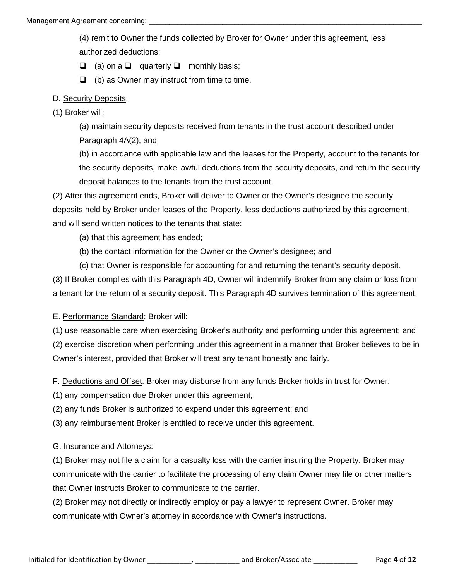(4) remit to Owner the funds collected by Broker for Owner under this agreement, less authorized deductions:

 $\Box$  (a) on a  $\Box$  quarterly  $\Box$  monthly basis;

 $\Box$  (b) as Owner may instruct from time to time.

## D. Security Deposits:

(1) Broker will:

(a) maintain security deposits received from tenants in the trust account described under Paragraph 4A(2); and

(b) in accordance with applicable law and the leases for the Property, account to the tenants for the security deposits, make lawful deductions from the security deposits, and return the security deposit balances to the tenants from the trust account.

(2) After this agreement ends, Broker will deliver to Owner or the Owner's designee the security deposits held by Broker under leases of the Property, less deductions authorized by this agreement, and will send written notices to the tenants that state:

(a) that this agreement has ended;

- (b) the contact information for the Owner or the Owner's designee; and
- (c) that Owner is responsible for accounting for and returning the tenant's security deposit.

(3) If Broker complies with this Paragraph 4D, Owner will indemnify Broker from any claim or loss from a tenant for the return of a security deposit. This Paragraph 4D survives termination of this agreement.

## E. Performance Standard: Broker will:

(1) use reasonable care when exercising Broker's authority and performing under this agreement; and

(2) exercise discretion when performing under this agreement in a manner that Broker believes to be in Owner's interest, provided that Broker will treat any tenant honestly and fairly.

F. Deductions and Offset: Broker may disburse from any funds Broker holds in trust for Owner:

(1) any compensation due Broker under this agreement;

(2) any funds Broker is authorized to expend under this agreement; and

(3) any reimbursement Broker is entitled to receive under this agreement.

## G. Insurance and Attorneys:

(1) Broker may not file a claim for a casualty loss with the carrier insuring the Property. Broker may communicate with the carrier to facilitate the processing of any claim Owner may file or other matters that Owner instructs Broker to communicate to the carrier.

(2) Broker may not directly or indirectly employ or pay a lawyer to represent Owner. Broker may communicate with Owner's attorney in accordance with Owner's instructions.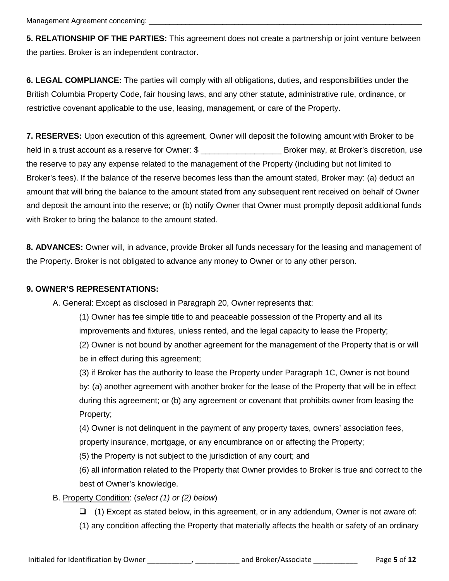Management Agreement concerning:

**5. RELATIONSHIP OF THE PARTIES:** This agreement does not create a partnership or joint venture between the parties. Broker is an independent contractor.

**6. LEGAL COMPLIANCE:** The parties will comply with all obligations, duties, and responsibilities under the British Columbia Property Code, fair housing laws, and any other statute, administrative rule, ordinance, or restrictive covenant applicable to the use, leasing, management, or care of the Property.

**7. RESERVES:** Upon execution of this agreement, Owner will deposit the following amount with Broker to be held in a trust account as a reserve for Owner: \$ the reserve to pay any expense related to the management of the Property (including but not limited to Broker's fees). If the balance of the reserve becomes less than the amount stated, Broker may: (a) deduct an amount that will bring the balance to the amount stated from any subsequent rent received on behalf of Owner and deposit the amount into the reserve; or (b) notify Owner that Owner must promptly deposit additional funds with Broker to bring the balance to the amount stated.

**8. ADVANCES:** Owner will, in advance, provide Broker all funds necessary for the leasing and management of the Property. Broker is not obligated to advance any money to Owner or to any other person.

#### **9. OWNER'S REPRESENTATIONS:**

A. General: Except as disclosed in Paragraph 20, Owner represents that:

(1) Owner has fee simple title to and peaceable possession of the Property and all its improvements and fixtures, unless rented, and the legal capacity to lease the Property;

(2) Owner is not bound by another agreement for the management of the Property that is or will be in effect during this agreement;

(3) if Broker has the authority to lease the Property under Paragraph 1C, Owner is not bound by: (a) another agreement with another broker for the lease of the Property that will be in effect during this agreement; or (b) any agreement or covenant that prohibits owner from leasing the Property;

(4) Owner is not delinquent in the payment of any property taxes, owners' association fees,

property insurance, mortgage, or any encumbrance on or affecting the Property;

(5) the Property is not subject to the jurisdiction of any court; and

(6) all information related to the Property that Owner provides to Broker is true and correct to the best of Owner's knowledge.

## B. Property Condition: (*select (1) or (2) below*)

 $\Box$  (1) Except as stated below, in this agreement, or in any addendum, Owner is not aware of:

(1) any condition affecting the Property that materially affects the health or safety of an ordinary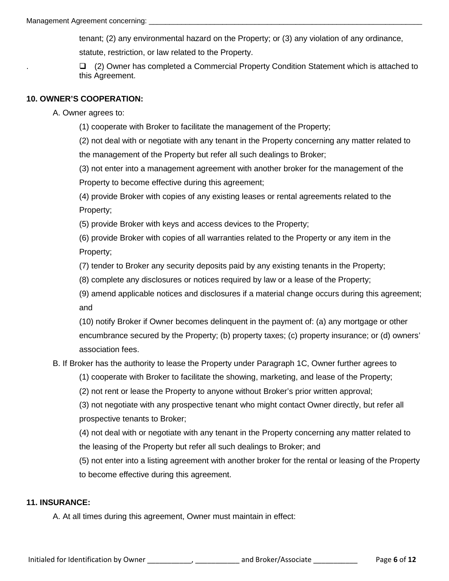tenant; (2) any environmental hazard on the Property; or (3) any violation of any ordinance, statute, restriction, or law related to the Property.

 $\Box$  (2) Owner has completed a Commercial Property Condition Statement which is attached to this Agreement.

## **10. OWNER'S COOPERATION:**

A. Owner agrees to:

(1) cooperate with Broker to facilitate the management of the Property;

(2) not deal with or negotiate with any tenant in the Property concerning any matter related to the management of the Property but refer all such dealings to Broker;

(3) not enter into a management agreement with another broker for the management of the Property to become effective during this agreement;

(4) provide Broker with copies of any existing leases or rental agreements related to the Property;

(5) provide Broker with keys and access devices to the Property;

(6) provide Broker with copies of all warranties related to the Property or any item in the Property;

(7) tender to Broker any security deposits paid by any existing tenants in the Property;

(8) complete any disclosures or notices required by law or a lease of the Property;

(9) amend applicable notices and disclosures if a material change occurs during this agreement; and

(10) notify Broker if Owner becomes delinquent in the payment of: (a) any mortgage or other encumbrance secured by the Property; (b) property taxes; (c) property insurance; or (d) owners' association fees.

B. If Broker has the authority to lease the Property under Paragraph 1C, Owner further agrees to

(1) cooperate with Broker to facilitate the showing, marketing, and lease of the Property;

(2) not rent or lease the Property to anyone without Broker's prior written approval;

(3) not negotiate with any prospective tenant who might contact Owner directly, but refer all prospective tenants to Broker;

(4) not deal with or negotiate with any tenant in the Property concerning any matter related to the leasing of the Property but refer all such dealings to Broker; and

(5) not enter into a listing agreement with another broker for the rental or leasing of the Property to become effective during this agreement.

## **11. INSURANCE:**

A. At all times during this agreement, Owner must maintain in effect: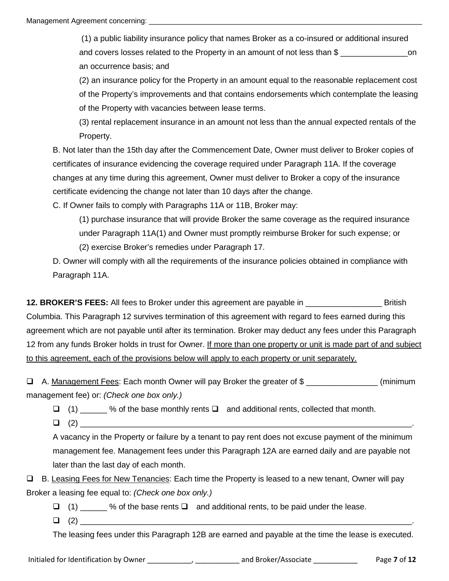(1) a public liability insurance policy that names Broker as a co-insured or additional insured and covers losses related to the Property in an amount of not less than \$ \_\_\_\_\_\_\_\_\_\_\_\_\_\_\_\_\_\_\_\_\_\_\_\_\_on an occurrence basis; and

(2) an insurance policy for the Property in an amount equal to the reasonable replacement cost of the Property's improvements and that contains endorsements which contemplate the leasing of the Property with vacancies between lease terms.

(3) rental replacement insurance in an amount not less than the annual expected rentals of the Property.

B. Not later than the 15th day after the Commencement Date, Owner must deliver to Broker copies of certificates of insurance evidencing the coverage required under Paragraph 11A. If the coverage changes at any time during this agreement, Owner must deliver to Broker a copy of the insurance certificate evidencing the change not later than 10 days after the change.

C. If Owner fails to comply with Paragraphs 11A or 11B, Broker may:

(1) purchase insurance that will provide Broker the same coverage as the required insurance under Paragraph 11A(1) and Owner must promptly reimburse Broker for such expense; or

(2) exercise Broker's remedies under Paragraph 17.

D. Owner will comply with all the requirements of the insurance policies obtained in compliance with Paragraph 11A.

**12. BROKER'S FEES:** All fees to Broker under this agreement are payable in \_\_\_\_\_\_\_\_\_\_\_\_\_\_\_\_\_ British Columbia. This Paragraph 12 survives termination of this agreement with regard to fees earned during this agreement which are not payable until after its termination. Broker may deduct any fees under this Paragraph 12 from any funds Broker holds in trust for Owner. If more than one property or unit is made part of and subject to this agreement, each of the provisions below will apply to each property or unit separately.

 $\Box$  A. Management Fees: Each month Owner will pay Broker the greater of \$  $\Box$ management fee) or: *(Check one box only.)*

 $\Box$  (1) % of the base monthly rents  $\Box$  and additional rents, collected that month.

 $\Box$  (2)

A vacancy in the Property or failure by a tenant to pay rent does not excuse payment of the minimum management fee. Management fees under this Paragraph 12A are earned daily and are payable not later than the last day of each month.

□ B. Leasing Fees for New Tenancies: Each time the Property is leased to a new tenant, Owner will pay Broker a leasing fee equal to: *(Check one box only.)*

 $\Box$  (1) % of the base rents  $\Box$  and additional rents, to be paid under the lease.

(2) \_\_\_\_\_\_\_\_\_\_\_\_\_\_\_\_\_\_\_\_\_\_\_\_\_\_\_\_\_\_\_\_\_\_\_\_\_\_\_\_\_\_\_\_\_\_\_\_\_\_\_\_\_\_\_\_\_\_\_\_\_\_\_\_\_\_\_\_\_\_\_\_\_\_.

The leasing fees under this Paragraph 12B are earned and payable at the time the lease is executed.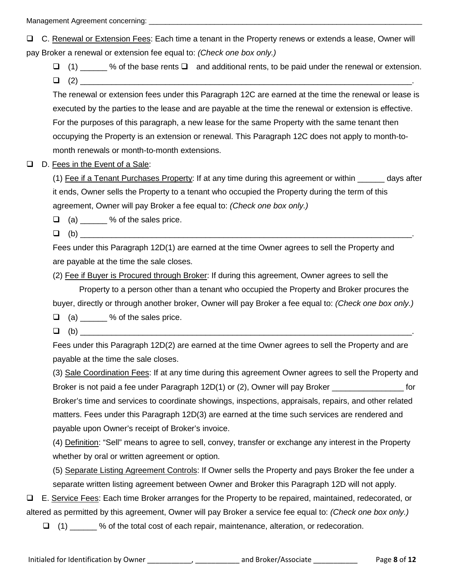Management Agreement concerning:

 C. Renewal or Extension Fees: Each time a tenant in the Property renews or extends a lease, Owner will pay Broker a renewal or extension fee equal to: *(Check one box only.)*

 $\Box$  (1)  $\Box$  % of the base rents  $\Box$  and additional rents, to be paid under the renewal or extension.  $\Box$  (2)

The renewal or extension fees under this Paragraph 12C are earned at the time the renewal or lease is executed by the parties to the lease and are payable at the time the renewal or extension is effective. For the purposes of this paragraph, a new lease for the same Property with the same tenant then occupying the Property is an extension or renewal. This Paragraph 12C does not apply to month-tomonth renewals or month-to-month extensions.

#### □ D. Fees in the Event of a Sale:

(1) Fee if a Tenant Purchases Property: If at any time during this agreement or within \_\_\_\_\_\_ days after it ends, Owner sells the Property to a tenant who occupied the Property during the term of this agreement, Owner will pay Broker a fee equal to: *(Check one box only.)*

 $\Box$  (a)  $\Box$  % of the sales price.

 $\Box$  (b)

Fees under this Paragraph 12D(1) are earned at the time Owner agrees to sell the Property and are payable at the time the sale closes.

(2) Fee if Buyer is Procured through Broker: If during this agreement, Owner agrees to sell the

Property to a person other than a tenant who occupied the Property and Broker procures the buyer, directly or through another broker, Owner will pay Broker a fee equal to: *(Check one box only.)*

 $\Box$  (a)  $\Box$  % of the sales price.

 $\Box$  (b)

Fees under this Paragraph 12D(2) are earned at the time Owner agrees to sell the Property and are payable at the time the sale closes.

(3) Sale Coordination Fees: If at any time during this agreement Owner agrees to sell the Property and Broker is not paid a fee under Paragraph 12D(1) or (2), Owner will pay Broker \_\_\_\_\_\_\_\_\_\_\_\_\_\_\_\_ for Broker's time and services to coordinate showings, inspections, appraisals, repairs, and other related matters. Fees under this Paragraph 12D(3) are earned at the time such services are rendered and payable upon Owner's receipt of Broker's invoice.

(4) Definition: "Sell" means to agree to sell, convey, transfer or exchange any interest in the Property whether by oral or written agreement or option.

(5) Separate Listing Agreement Controls: If Owner sells the Property and pays Broker the fee under a separate written listing agreement between Owner and Broker this Paragraph 12D will not apply.

 E. Service Fees: Each time Broker arranges for the Property to be repaired, maintained, redecorated, or altered as permitted by this agreement, Owner will pay Broker a service fee equal to: *(Check one box only.)*

 $\Box$  (1)  $\%$  of the total cost of each repair, maintenance, alteration, or redecoration.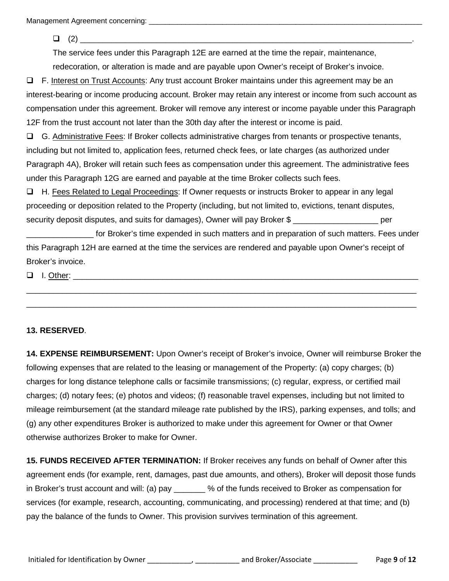Management Agreement concerning: \_\_\_\_\_\_\_\_\_\_\_\_\_\_\_\_\_\_\_\_\_\_\_\_\_\_\_\_\_\_\_\_\_\_\_\_\_\_\_\_\_\_\_\_\_\_\_\_\_\_\_\_\_\_\_\_\_\_\_\_\_\_\_\_\_\_\_

 $\Box$  (2)

The service fees under this Paragraph 12E are earned at the time the repair, maintenance, redecoration, or alteration is made and are payable upon Owner's receipt of Broker's invoice.

□ F. Interest on Trust Accounts: Any trust account Broker maintains under this agreement may be an interest-bearing or income producing account. Broker may retain any interest or income from such account as compensation under this agreement. Broker will remove any interest or income payable under this Paragraph 12F from the trust account not later than the 30th day after the interest or income is paid.

 G. Administrative Fees: If Broker collects administrative charges from tenants or prospective tenants, including but not limited to, application fees, returned check fees, or late charges (as authorized under Paragraph 4A), Broker will retain such fees as compensation under this agreement. The administrative fees under this Paragraph 12G are earned and payable at the time Broker collects such fees.

 H. Fees Related to Legal Proceedings: If Owner requests or instructs Broker to appear in any legal proceeding or deposition related to the Property (including, but not limited to, evictions, tenant disputes, security deposit disputes, and suits for damages), Owner will pay Broker \$ \_\_\_\_\_\_\_\_\_\_\_\_\_\_\_\_\_\_\_ per

for Broker's time expended in such matters and in preparation of such matters. Fees under this Paragraph 12H are earned at the time the services are rendered and payable upon Owner's receipt of Broker's invoice.

\_\_\_\_\_\_\_\_\_\_\_\_\_\_\_\_\_\_\_\_\_\_\_\_\_\_\_\_\_\_\_\_\_\_\_\_\_\_\_\_\_\_\_\_\_\_\_\_\_\_\_\_\_\_\_\_\_\_\_\_\_\_\_\_\_\_\_\_\_\_\_\_\_\_\_\_\_\_\_\_\_\_\_\_\_\_\_ \_\_\_\_\_\_\_\_\_\_\_\_\_\_\_\_\_\_\_\_\_\_\_\_\_\_\_\_\_\_\_\_\_\_\_\_\_\_\_\_\_\_\_\_\_\_\_\_\_\_\_\_\_\_\_\_\_\_\_\_\_\_\_\_\_\_\_\_\_\_\_\_\_\_\_\_\_\_\_\_\_\_\_\_\_\_\_

 $\Box$  I. Other:

## **13. RESERVED**.

**14. EXPENSE REIMBURSEMENT:** Upon Owner's receipt of Broker's invoice, Owner will reimburse Broker the following expenses that are related to the leasing or management of the Property: (a) copy charges; (b) charges for long distance telephone calls or facsimile transmissions; (c) regular, express, or certified mail charges; (d) notary fees; (e) photos and videos; (f) reasonable travel expenses, including but not limited to mileage reimbursement (at the standard mileage rate published by the IRS), parking expenses, and tolls; and (g) any other expenditures Broker is authorized to make under this agreement for Owner or that Owner otherwise authorizes Broker to make for Owner.

**15. FUNDS RECEIVED AFTER TERMINATION:** If Broker receives any funds on behalf of Owner after this agreement ends (for example, rent, damages, past due amounts, and others), Broker will deposit those funds in Broker's trust account and will: (a) pay  $\sim$  % of the funds received to Broker as compensation for services (for example, research, accounting, communicating, and processing) rendered at that time; and (b) pay the balance of the funds to Owner. This provision survives termination of this agreement.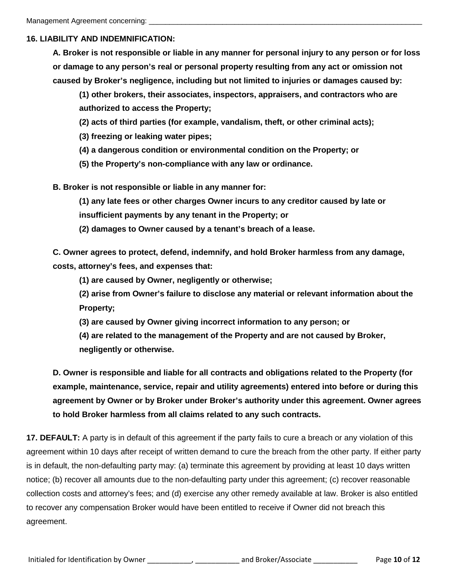#### **16. LIABILITY AND INDEMNIFICATION:**

**A. Broker is not responsible or liable in any manner for personal injury to any person or for loss or damage to any person's real or personal property resulting from any act or omission not caused by Broker's negligence, including but not limited to injuries or damages caused by:**

**(1) other brokers, their associates, inspectors, appraisers, and contractors who are authorized to access the Property;**

**(2) acts of third parties (for example, vandalism, theft, or other criminal acts);**

**(3) freezing or leaking water pipes;**

**(4) a dangerous condition or environmental condition on the Property; or**

**(5) the Property's non-compliance with any law or ordinance.**

**B. Broker is not responsible or liable in any manner for:**

**(1) any late fees or other charges Owner incurs to any creditor caused by late or** 

**insufficient payments by any tenant in the Property; or**

**(2) damages to Owner caused by a tenant's breach of a lease.**

**C. Owner agrees to protect, defend, indemnify, and hold Broker harmless from any damage, costs, attorney's fees, and expenses that:**

**(1) are caused by Owner, negligently or otherwise;**

**(2) arise from Owner's failure to disclose any material or relevant information about the Property;**

**(3) are caused by Owner giving incorrect information to any person; or**

**(4) are related to the management of the Property and are not caused by Broker,** 

**negligently or otherwise.**

**D. Owner is responsible and liable for all contracts and obligations related to the Property (for example, maintenance, service, repair and utility agreements) entered into before or during this agreement by Owner or by Broker under Broker's authority under this agreement. Owner agrees to hold Broker harmless from all claims related to any such contracts.**

**17. DEFAULT:** A party is in default of this agreement if the party fails to cure a breach or any violation of this agreement within 10 days after receipt of written demand to cure the breach from the other party. If either party is in default, the non-defaulting party may: (a) terminate this agreement by providing at least 10 days written notice; (b) recover all amounts due to the non-defaulting party under this agreement; (c) recover reasonable collection costs and attorney's fees; and (d) exercise any other remedy available at law. Broker is also entitled to recover any compensation Broker would have been entitled to receive if Owner did not breach this agreement.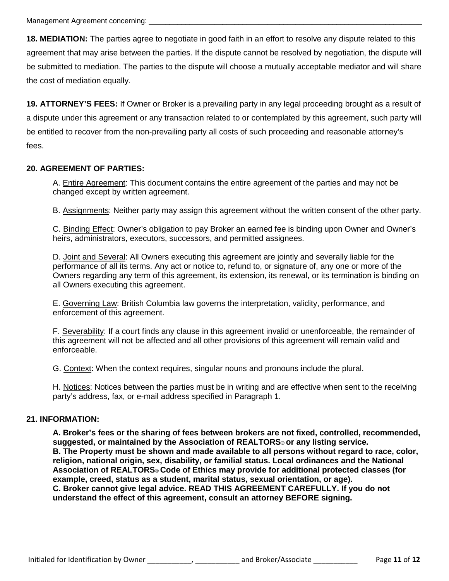Management Agreement concerning:

**18. MEDIATION:** The parties agree to negotiate in good faith in an effort to resolve any dispute related to this agreement that may arise between the parties. If the dispute cannot be resolved by negotiation, the dispute will be submitted to mediation. The parties to the dispute will choose a mutually acceptable mediator and will share the cost of mediation equally.

**19. ATTORNEY'S FEES:** If Owner or Broker is a prevailing party in any legal proceeding brought as a result of a dispute under this agreement or any transaction related to or contemplated by this agreement, such party will be entitled to recover from the non-prevailing party all costs of such proceeding and reasonable attorney's fees.

#### **20. AGREEMENT OF PARTIES:**

A. Entire Agreement: This document contains the entire agreement of the parties and may not be changed except by written agreement.

B. Assignments: Neither party may assign this agreement without the written consent of the other party.

C. Binding Effect: Owner's obligation to pay Broker an earned fee is binding upon Owner and Owner's heirs, administrators, executors, successors, and permitted assignees.

D. Joint and Several: All Owners executing this agreement are jointly and severally liable for the performance of all its terms. Any act or notice to, refund to, or signature of, any one or more of the Owners regarding any term of this agreement, its extension, its renewal, or its termination is binding on all Owners executing this agreement.

E. Governing Law: British Columbia law governs the interpretation, validity, performance, and enforcement of this agreement.

F. Severability: If a court finds any clause in this agreement invalid or unenforceable, the remainder of this agreement will not be affected and all other provisions of this agreement will remain valid and enforceable.

G. Context: When the context requires, singular nouns and pronouns include the plural.

H. Notices: Notices between the parties must be in writing and are effective when sent to the receiving party's address, fax, or e-mail address specified in Paragraph 1.

#### **21. INFORMATION:**

**A. Broker's fees or the sharing of fees between brokers are not fixed, controlled, recommended, suggested, or maintained by the Association of REALTORS**® **or any listing service. B. The Property must be shown and made available to all persons without regard to race, color, religion, national origin, sex, disability, or familial status. Local ordinances and the National Association of REALTORS**® **Code of Ethics may provide for additional protected classes (for example, creed, status as a student, marital status, sexual orientation, or age). C. Broker cannot give legal advice. READ THIS AGREEMENT CAREFULLY. If you do not understand the effect of this agreement, consult an attorney BEFORE signing.**